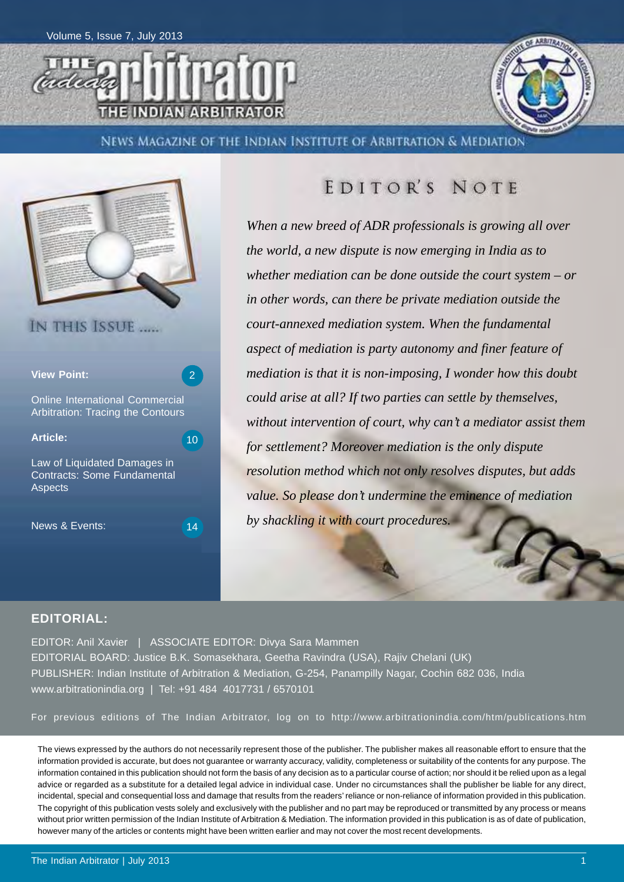



NEWS MAGAZINE OF THE INDIAN INSTITUTE OF ARBITRATION & MEDIATION



### EDITOR'S NOTE

*When a new breed of ADR professionals is growing all over the world, a new dispute is now emerging in India as to whether mediation can be done outside the court system – or in other words, can there be private mediation outside the court-annexed mediation system. When the fundamental aspect of mediation is party autonomy and finer feature of mediation is that it is non-imposing, I wonder how this doubt could arise at all? If two parties can settle by themselves, without intervention of court, why can't a mediator assist them for settlement? Moreover mediation is the only dispute resolution method which not only resolves disputes, but adds value. So please don't undermine the eminence of mediation by shackling it with court procedures.*

#### **EDITORIAL:**

EDITOR: Anil Xavier | ASSOCIATE EDITOR: Divya Sara Mammen EDITORIAL BOARD: Justice B.K. Somasekhara, Geetha Ravindra (USA), Rajiv Chelani (UK) PUBLISHER: Indian Institute of Arbitration & Mediation, G-254, Panampilly Nagar, Cochin 682 036, India www.arbitrationindia.org | Tel: +91 484 4017731 / 6570101

For previous editions of The Indian Arbitrator, log on to http://www.arbitrationindia.com/htm/publications.htm

The views expressed by the authors do not necessarily represent those of the publisher. The publisher makes all reasonable effort to ensure that the information provided is accurate, but does not guarantee or warranty accuracy, validity, completeness or suitability of the contents for any purpose. The information contained in this publication should not form the basis of any decision as to a particular course of action; nor should it be relied upon as a legal advice or regarded as a substitute for a detailed legal advice in individual case. Under no circumstances shall the publisher be liable for any direct, incidental, special and consequential loss and damage that results from the readers' reliance or non-reliance of information provided in this publication. The copyright of this publication vests solely and exclusively with the publisher and no part may be reproduced or transmitted by any process or means without prior written permission of the Indian Institute of Arbitration & Mediation. The information provided in this publication is as of date of publication, however many of the articles or contents might have been written earlier and may not cover the most recent developments.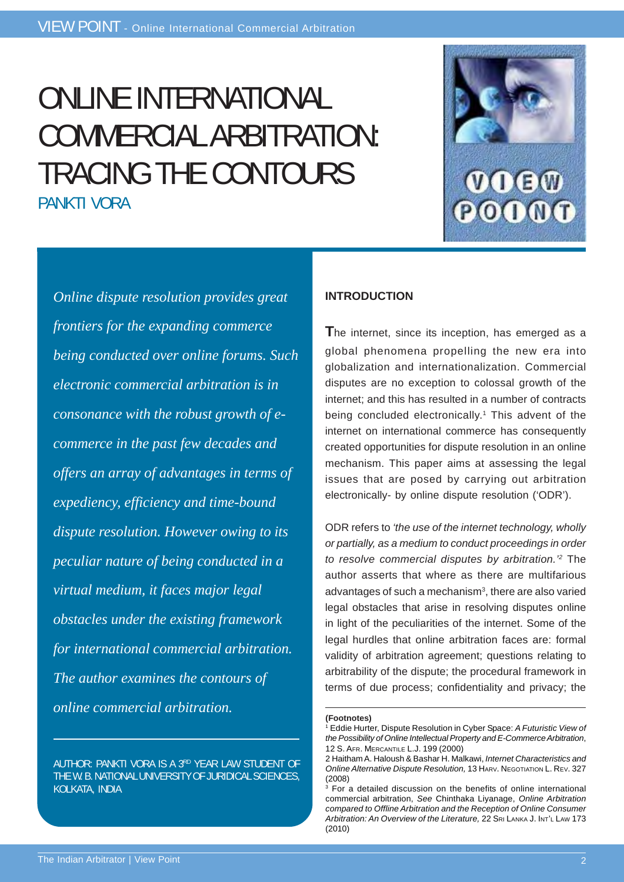# ONLINE INTERNATIONAL COMMERCIAL ARBITRATION: TRACING THE CONTOURS PANKTI VORA



*Online dispute resolution provides great frontiers for the expanding commerce being conducted over online forums. Such electronic commercial arbitration is in consonance with the robust growth of ecommerce in the past few decades and offers an array of advantages in terms of expediency, efficiency and time-bound dispute resolution. However owing to its peculiar nature of being conducted in a virtual medium, it faces major legal obstacles under the existing framework for international commercial arbitration. The author examines the contours of online commercial arbitration.*

AUTHOR: PANKTI VORA IS A 3RD YEAR LAW STUDENT OF THE W. B. NATIONAL UNIVERSITY OF JURIDICAL SCIENCES, KOLKATA, INDIA

#### **INTRODUCTION**

**T**he internet, since its inception, has emerged as a global phenomena propelling the new era into globalization and internationalization. Commercial disputes are no exception to colossal growth of the internet; and this has resulted in a number of contracts being concluded electronically.<sup>1</sup> This advent of the internet on international commerce has consequently created opportunities for dispute resolution in an online mechanism. This paper aims at assessing the legal issues that are posed by carrying out arbitration electronically- by online dispute resolution ('ODR').

ODR refers to *'the use of the internet technology, wholly or partially, as a medium to conduct proceedings in order to resolve commercial disputes by arbitration.'2* The author asserts that where as there are multifarious advantages of such a mechanism<sup>3</sup>, there are also varied legal obstacles that arise in resolving disputes online in light of the peculiarities of the internet. Some of the legal hurdles that online arbitration faces are: formal validity of arbitration agreement; questions relating to arbitrability of the dispute; the procedural framework in terms of due process; confidentiality and privacy; the

**<sup>(</sup>Footnotes)**

<sup>&</sup>lt;sup>1</sup> Eddie Hurter, Dispute Resolution in Cyber Space: A Futuristic View of *the Possibility of Online Intellectual Property and E-Commerce Arbitration*, 12 S. AFR. MERCANTILE L.J. 199 (2000)

<sup>2</sup> Haitham A. Haloush & Bashar H. Malkawi, *Internet Characteristics and Online Alternative Dispute Resolution,* 13 HARV. NEGOTIATION L. REV. 327 (2008)

<sup>3</sup> For a detailed discussion on the benefits of online international commercial arbitration, *See* Chinthaka Liyanage, *Online Arbitration compared to Offline Arbitration and the Reception of Online Consumer Arbitration: An Overview of the Literature,* 22 SRI LANKA J. INT'L LAW 173 (2010)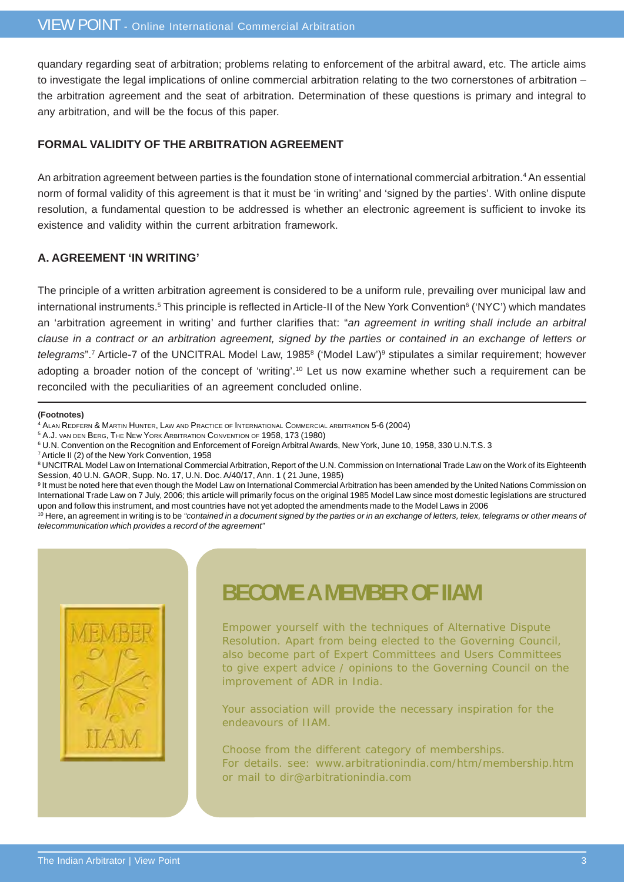quandary regarding seat of arbitration; problems relating to enforcement of the arbitral award, etc. The article aims to investigate the legal implications of online commercial arbitration relating to the two cornerstones of arbitration – the arbitration agreement and the seat of arbitration. Determination of these questions is primary and integral to any arbitration, and will be the focus of this paper.

#### **FORMAL VALIDITY OF THE ARBITRATION AGREEMENT**

An arbitration agreement between parties is the foundation stone of international commercial arbitration.4 An essential norm of formal validity of this agreement is that it must be 'in writing' and 'signed by the parties'. With online dispute resolution, a fundamental question to be addressed is whether an electronic agreement is sufficient to invoke its existence and validity within the current arbitration framework.

#### **A. AGREEMENT 'IN WRITING'**

The principle of a written arbitration agreement is considered to be a uniform rule, prevailing over municipal law and international instruments.<sup>5</sup> This principle is reflected in Article-II of the New York Convention<sup>6</sup> ('NYC') which mandates an 'arbitration agreement in writing' and further clarifies that: "*an agreement in writing shall include an arbitral clause in a contract or an arbitration agreement, signed by the parties or contained in an exchange of letters or* telegrams".<sup>7</sup> Article-7 of the UNCITRAL Model Law, 1985<sup>8</sup> ('Model Law')<sup>9</sup> stipulates a similar requirement; however adopting a broader notion of the concept of 'writing'.10 Let us now examine whether such a requirement can be reconciled with the peculiarities of an agreement concluded online.

#### **(Footnotes)**

4 ALAN REDFERN & MARTIN HUNTER, LAW AND PRACTICE OF INTERNATIONAL COMMERCIAL ARBITRATION 5-6 (2004)

- 5 A.J. VAN DEN BERG, THE NEW YORK ARBITRATION CONVENTION OF 1958, 173 (1980)
- 6 U.N. Convention on the Recognition and Enforcement of Foreign Arbitral Awards, New York, June 10, 1958, 330 U.N.T.S. 3
- 7 Article II (2) of the New York Convention, 1958

8 UNCITRAL Model Law on International Commercial Arbitration, Report of the U.N. Commission on International Trade Law on the Work of its Eighteenth Session, 40 U.N. GAOR, Supp. No. 17, U.N. Doc. A/40/17, Ann. 1 ( 21 June, 1985)

<sup>9</sup> It must be noted here that even though the Model Law on International Commercial Arbitration has been amended by the United Nations Commission on International Trade Law on 7 July, 2006; this article will primarily focus on the original 1985 Model Law since most domestic legislations are structured upon and follow this instrument, and most countries have not yet adopted the amendments made to the Model Laws in 2006

<sup>10</sup> Here, an agreement in writing is to be "contained in a document signed by the parties or in an exchange of letters, telex, telegrams or other means of *telecommunication which provides a record of the agreement"*



### **BECOME A MEMBER OF IIAM**

Empower yourself with the techniques of Alternative Dispute Resolution. Apart from being elected to the Governing Council, also become part of Expert Committees and Users Committees to give expert advice / opinions to the Governing Council on the improvement of ADR in India.

Your association will provide the necessary inspiration for the endeavours of IIAM.

Choose from the different category of memberships. For details. see: www.arbitrationindia.com/htm/membership.htm or mail to dir@arbitrationindia.com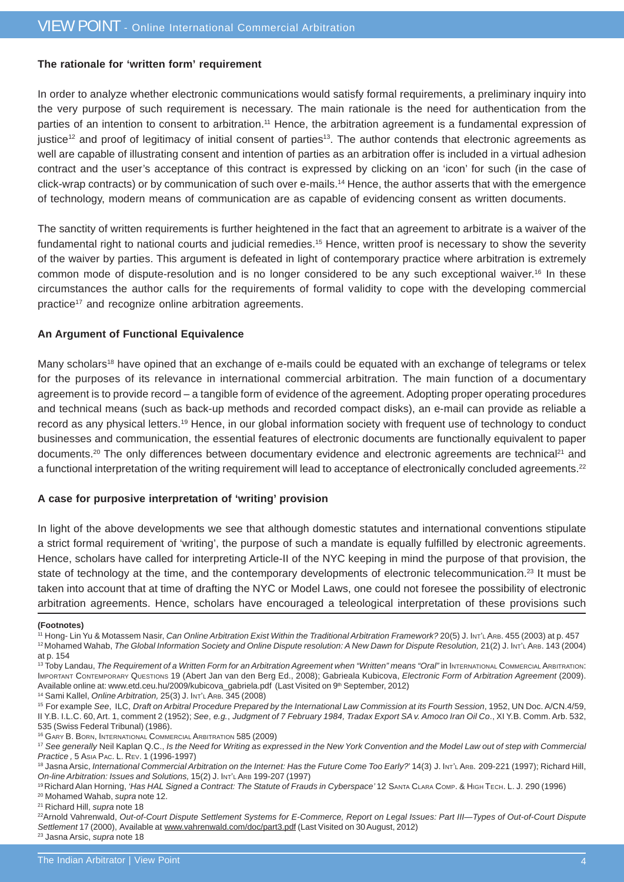#### **The rationale for 'written form' requirement**

In order to analyze whether electronic communications would satisfy formal requirements, a preliminary inquiry into the very purpose of such requirement is necessary. The main rationale is the need for authentication from the parties of an intention to consent to arbitration.<sup>11</sup> Hence, the arbitration agreement is a fundamental expression of justice<sup>12</sup> and proof of legitimacy of initial consent of parties<sup>13</sup>. The author contends that electronic agreements as well are capable of illustrating consent and intention of parties as an arbitration offer is included in a virtual adhesion contract and the user's acceptance of this contract is expressed by clicking on an 'icon' for such (in the case of click-wrap contracts) or by communication of such over e-mails.14 Hence, the author asserts that with the emergence of technology, modern means of communication are as capable of evidencing consent as written documents.

The sanctity of written requirements is further heightened in the fact that an agreement to arbitrate is a waiver of the fundamental right to national courts and judicial remedies.15 Hence, written proof is necessary to show the severity of the waiver by parties. This argument is defeated in light of contemporary practice where arbitration is extremely common mode of dispute-resolution and is no longer considered to be any such exceptional waiver.16 In these circumstances the author calls for the requirements of formal validity to cope with the developing commercial practice17 and recognize online arbitration agreements.

#### **An Argument of Functional Equivalence**

Many scholars<sup>18</sup> have opined that an exchange of e-mails could be equated with an exchange of telegrams or telex for the purposes of its relevance in international commercial arbitration. The main function of a documentary agreement is to provide record – a tangible form of evidence of the agreement. Adopting proper operating procedures and technical means (such as back-up methods and recorded compact disks), an e-mail can provide as reliable a record as any physical letters.19 Hence, in our global information society with frequent use of technology to conduct businesses and communication, the essential features of electronic documents are functionally equivalent to paper documents.<sup>20</sup> The only differences between documentary evidence and electronic agreements are technical<sup>21</sup> and a functional interpretation of the writing requirement will lead to acceptance of electronically concluded agreements.<sup>22</sup>

#### **A case for purposive interpretation of 'writing' provision**

In light of the above developments we see that although domestic statutes and international conventions stipulate a strict formal requirement of 'writing', the purpose of such a mandate is equally fulfilled by electronic agreements. Hence, scholars have called for interpreting Article-II of the NYC keeping in mind the purpose of that provision, the state of technology at the time, and the contemporary developments of electronic telecommunication.<sup>23</sup> It must be taken into account that at time of drafting the NYC or Model Laws, one could not foresee the possibility of electronic arbitration agreements. Hence, scholars have encouraged a teleological interpretation of these provisions such

#### **(Footnotes)**

14 Sami Kallel, *Online Arbitration,* 25(3) J. INT'L ARB. 345 (2008)

<sup>&</sup>lt;sup>11</sup> Hong- Lin Yu & Motassem Nasir, *Can Online Arbitration Exist Within the Traditional Arbitration Framework? 20(5) J. Int't Are, 455 (2003) at p. 457* 12 Mohamed Wahab, *The Global Information Society and Online Dispute resolution: A New Dawn for Dispute Resolution, 21(2) J. Int'L Ars. 143 (2004)* at p. 154

<sup>&</sup>lt;sup>13</sup> Toby Landau, *The Requirement of a Written Form for an Arbitration Agreement when "Written" means "Oral" in INTERNATIONAL COMMERCIAL ARBITRATION:* IMPORTANT CONTEMPORARY QUESTIONS 19 (Abert Jan van den Berg Ed., 2008); Gabrieala Kubicova, *Electronic Form of Arbitration Agreement* (2009). Available online at: www.etd.ceu.hu/2009/kubicova\_gabriela.pdf (Last Visited on 9<sup>th</sup> September, 2012)

<sup>15</sup> For example *See*, ILC, *Draft on Arbitral Procedure Prepared by the International Law Commission at its Fourth Session*, 1952, UN Doc. A/CN.4/59, II Y.B. I.L.C. 60, Art. 1, comment 2 (1952); *See*, *e.g.*, *Judgment of 7 February 1984, Tradax Export SA v. Amoco Iran Oil Co*., XI Y.B. Comm. Arb. 532, 535 (Swiss Federal Tribunal) (1986).

<sup>16</sup> GARY B. BORN, INTERNATIONAL COMMERCIAL ARBITRATION 585 (2009)

<sup>17</sup> *See generally* Neil Kaplan Q.C., *Is the Need for Writing as expressed in the New York Convention and the Model Law out of step with Commercial Practice ,* 5 ASIA PAC. L. REV. 1 (1996-1997)

<sup>18</sup> Jasna Arsic, *International Commercial Arbitration on the Internet: Has the Future Come Too Early?*' 14(3) J. INT'L ARB. 209-221 (1997); Richard Hill, *On-line Arbitration: Issues and Solutions,* 15(2) J. INT'L ARB 199-207 (1997)

<sup>&</sup>lt;sup>19</sup> Richard Alan Horning, 'Has HAL Signed a Contract: The Statute of Frauds in Cyberspace' 12 SANTA CLARA COMP. & HIGH TECH. L. J. 290 (1996)

<sup>20</sup> Mohamed Wahab, *supra* note 12.

<sup>21</sup> Richard Hill, *supra* note 18

<sup>22</sup>Arnold Vahrenwald, *Out-of-Court Dispute Settlement Systems for E-Commerce, Report on Legal Issues: Part III—Types of Out-of-Court Dispute Settlement* 17 (2000), Available at www.vahrenwald.com/doc/part3.pdf (Last Visited on 30 August, 2012) 23 Jasna Arsic, *supra* note 18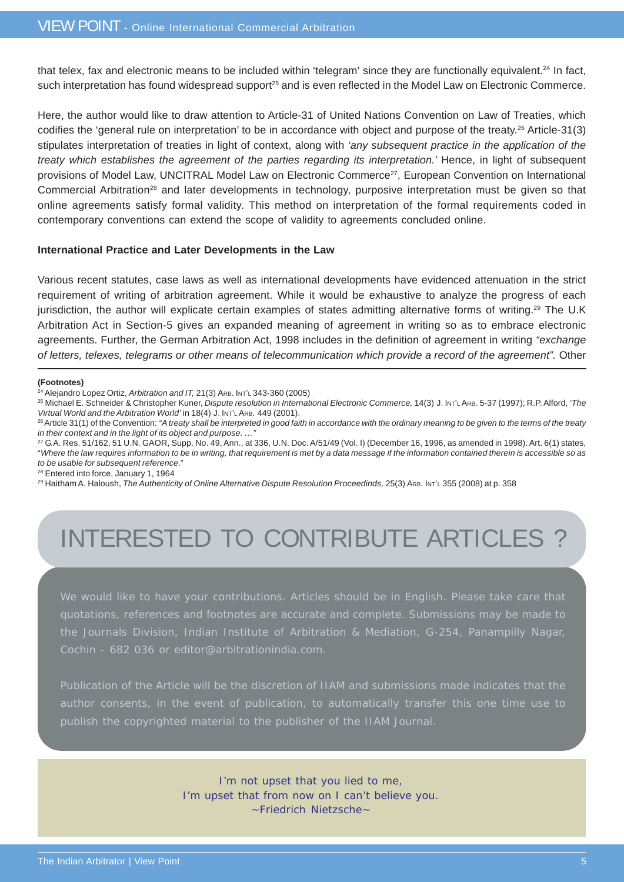that telex, fax and electronic means to be included within 'telegram' since they are functionally equivalent.<sup>24</sup> In fact, such interpretation has found widespread support<sup>25</sup> and is even reflected in the Model Law on Electronic Commerce.

Here, the author would like to draw attention to Article-31 of United Nations Convention on Law of Treaties, which codifies the 'general rule on interpretation' to be in accordance with object and purpose of the treaty.<sup>26</sup> Article-31(3) stipulates interpretation of treaties in light of context, along with *'any subsequent practice in the application of the treaty which establishes the agreement of the parties regarding its interpretation.'* Hence, in light of subsequent provisions of Model Law, UNCITRAL Model Law on Electronic Commerce<sup>27</sup>, European Convention on International Commercial Arbitration<sup>28</sup> and later developments in technology, purposive interpretation must be given so that online agreements satisfy formal validity. This method on interpretation of the formal requirements coded in contemporary conventions can extend the scope of validity to agreements concluded online.

#### **International Practice and Later Developments in the Law**

Various recent statutes, case laws as well as international developments have evidenced attenuation in the strict requirement of writing of arbitration agreement. While it would be exhaustive to analyze the progress of each jurisdiction, the author will explicate certain examples of states admitting alternative forms of writing.29 The U.K Arbitration Act in Section-5 gives an expanded meaning of agreement in writing so as to embrace electronic agreements. Further, the German Arbitration Act, 1998 includes in the definition of agreement in writing *"exchange of letters, telexes, telegrams or other means of telecommunication which provide a record of the agreement".* Other

#### **(Footnotes)**

25 Michael E. Schneider & Christopher Kuner, *Dispute resolution in International Electronic Commerce,* 14(3) J. INT'L ARB. 5-37 (1997); R.P. Alford, *'The Virtual World and the Arbitration World'* in 18(4) J. INT'L ARB. 449 (2001).

27 G.A. Res. 51/162, 51 U.N. GAOR, Supp. No. 49, Ann., at 336, U.N. Doc. A/51/49 (Vol. I) (December 16, 1996, as amended in 1998). Art. 6(1) states, "*Where the law requires information to be in writing, that requirement is met by a data message if the information contained therein is accessible so as to be usable for subsequent reference*."

28 Entered into force, January 1, 1964

29 Haitham A. Haloush, *The Authenticity of Online Alternative Dispute Resolution Proceedinds,* 25(3) ARB. INT'L 355 (2008) at p. 358

## INTERESTED TO CONTRIBUTE ARTICLES ?

We would like to have your contributions. Articles should be in English. Please take care that quotations, references and footnotes are accurate and complete. Submissions may be made to the Journals Division, Indian Institute of Arbitration & Mediation, G-254, Panampilly Nagar, Cochin - 682 036 or editor@arbitrationindia.com.

Publication of the Article will be the discretion of IIAM and submissions made indicates that the publish the copyrighted material to the publisher of the IIAM Journal.

> I'm not upset that you lied to me, I'm upset that from now on I can't believe you. ~Friedrich Nietzsche~

<sup>24</sup> Alejandro Lopez Ortiz, *Arbitration and IT,* 21(3) ARB. INT'L 343-360 (2005)

<sup>&</sup>lt;sup>26</sup> Article 31(1) of the Convention: "A treaty shall be interpreted in good faith in accordance with the ordinary meaning to be given to the terms of the treaty *in their context and in the light of its object and purpose. …"*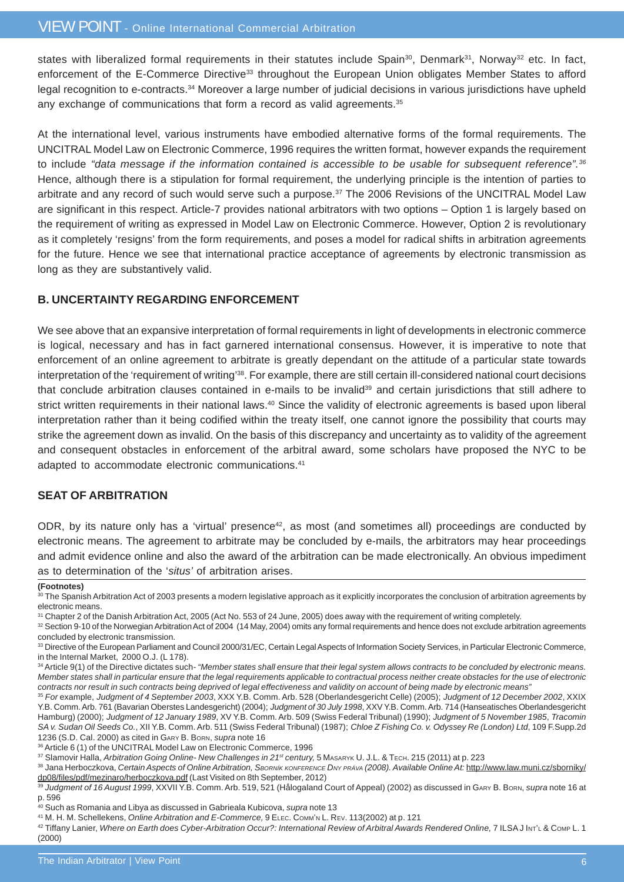states with liberalized formal requirements in their statutes include Spain<sup>30</sup>, Denmark<sup>31</sup>, Norway<sup>32</sup> etc. In fact, enforcement of the E-Commerce Directive<sup>33</sup> throughout the European Union obligates Member States to afford legal recognition to e-contracts.34 Moreover a large number of judicial decisions in various jurisdictions have upheld any exchange of communications that form a record as valid agreements.<sup>35</sup>

At the international level, various instruments have embodied alternative forms of the formal requirements. The UNCITRAL Model Law on Electronic Commerce, 1996 requires the written format, however expands the requirement to include *"data message if the information contained is accessible to be usable for subsequent reference".36* Hence, although there is a stipulation for formal requirement, the underlying principle is the intention of parties to arbitrate and any record of such would serve such a purpose.<sup>37</sup> The 2006 Revisions of the UNCITRAL Model Law are significant in this respect. Article-7 provides national arbitrators with two options – Option 1 is largely based on the requirement of writing as expressed in Model Law on Electronic Commerce. However, Option 2 is revolutionary as it completely 'resigns' from the form requirements, and poses a model for radical shifts in arbitration agreements for the future. Hence we see that international practice acceptance of agreements by electronic transmission as long as they are substantively valid.

#### **B. UNCERTAINTY REGARDING ENFORCEMENT**

We see above that an expansive interpretation of formal requirements in light of developments in electronic commerce is logical, necessary and has in fact garnered international consensus. However, it is imperative to note that enforcement of an online agreement to arbitrate is greatly dependant on the attitude of a particular state towards interpretation of the 'requirement of writing'38. For example, there are still certain ill-considered national court decisions that conclude arbitration clauses contained in e-mails to be invalid<sup>39</sup> and certain jurisdictions that still adhere to strict written requirements in their national laws.<sup>40</sup> Since the validity of electronic agreements is based upon liberal interpretation rather than it being codified within the treaty itself, one cannot ignore the possibility that courts may strike the agreement down as invalid. On the basis of this discrepancy and uncertainty as to validity of the agreement and consequent obstacles in enforcement of the arbitral award, some scholars have proposed the NYC to be adapted to accommodate electronic communications.<sup>41</sup>

#### **SEAT OF ARBITRATION**

ODR, by its nature only has a 'virtual' presence<sup>42</sup>, as most (and sometimes all) proceedings are conducted by electronic means. The agreement to arbitrate may be concluded by e-mails, the arbitrators may hear proceedings and admit evidence online and also the award of the arbitration can be made electronically. An obvious impediment as to determination of the '*situs'* of arbitration arises.

34 Article 9(1) of the Directive dictates such*- "Member states shall ensure that their legal system allows contracts to be concluded by electronic means. Member states shall in particular ensure that the legal requirements applicable to contractual process neither create obstacles for the use of electronic contracts nor result in such contracts being deprived of legal effectiveness and validity on account of being made by electronic means"*

**<sup>(</sup>Footnotes)**

<sup>30</sup> The Spanish Arbitration Act of 2003 presents a modern legislative approach as it explicitly incorporates the conclusion of arbitration agreements by electronic means.

<sup>31</sup> Chapter 2 of the Danish Arbitration Act, 2005 (Act No. 553 of 24 June, 2005) does away with the requirement of writing completely.

<sup>32</sup> Section 9-10 of the Norwegian Arbitration Act of 2004 (14 May, 2004) omits any formal requirements and hence does not exclude arbitration agreements concluded by electronic transmission.

<sup>33</sup> Directive of the European Parliament and Council 2000/31/EC, Certain Legal Aspects of Information Society Services, in Particular Electronic Commerce, in the Internal Market, 2000 O.J. (L 178).

<sup>35</sup> *For* example, *Judgment of 4 September 2003*, XXX Y.B. Comm. Arb. 528 (Oberlandesgericht Celle) (2005); *Judgment of 12 December 2002*, XXIX Y.B. Comm. Arb. 761 (Bavarian Oberstes Landesgericht) (2004); *Judgment of 30 July 1998*, XXV Y.B. Comm. Arb. 714 (Hanseatisches Oberlandesgericht Hamburg) (2000); *Judgment of 12 January 1989*, XV Y.B. Comm. Arb. 509 (Swiss Federal Tribunal) (1990); *Judgment of 5 November 1985*, *Tracomin SA v. Sudan Oil Seeds Co.*, XII Y.B. Comm. Arb. 511 (Swiss Federal Tribunal) (1987); *Chloe Z Fishing Co. v. Odyssey Re (London) Ltd*, 109 F.Supp.2d 1236 (S.D. Cal. 2000) as cited in GARY B. BORN, *supra* note 16

<sup>36</sup> Article 6 (1) of the UNCITRAL Model Law on Electronic Commerce, 1996

<sup>37</sup> Slamovir Halla, Arbitration Going Online- New Challenges in 21<sup>st</sup> century, 5 MASARYK U. J.L. & TECH. 215 (2011) at p. 223

<sup>38</sup> Jana Herboczkova, Certain Aspects of Online Arbitration, SBORNÍK KONFERENCE DNY PRÁVA (2008). Available Online At: http://www.law.muni.cz/sborniky/ dp08/files/pdf/mezinaro/herboczkova.pdf (Last Visited on 8th September, 2012)

<sup>39</sup> *Judgment of 16 August 1999*, XXVII Y.B. Comm. Arb. 519, 521 (Hålogaland Court of Appeal) (2002) as discussed in GARY B. BORN, *supra* note 16 at p. 596

<sup>40</sup> Such as Romania and Libya as discussed in Gabrieala Kubicova, *supra* note 13

<sup>41</sup> M. H. M. Schellekens, *Online Arbitration and E-Commerce,* 9 ELEC. COMM'N L. REV. 113(2002) at p. 121

<sup>42</sup> Tiffany Lanier, Where on Earth does Cyber-Arbitration Occur?: International Review of Arbitral Awards Rendered Online, 7 ILSA J Int'L & Comp L. 1 (2000)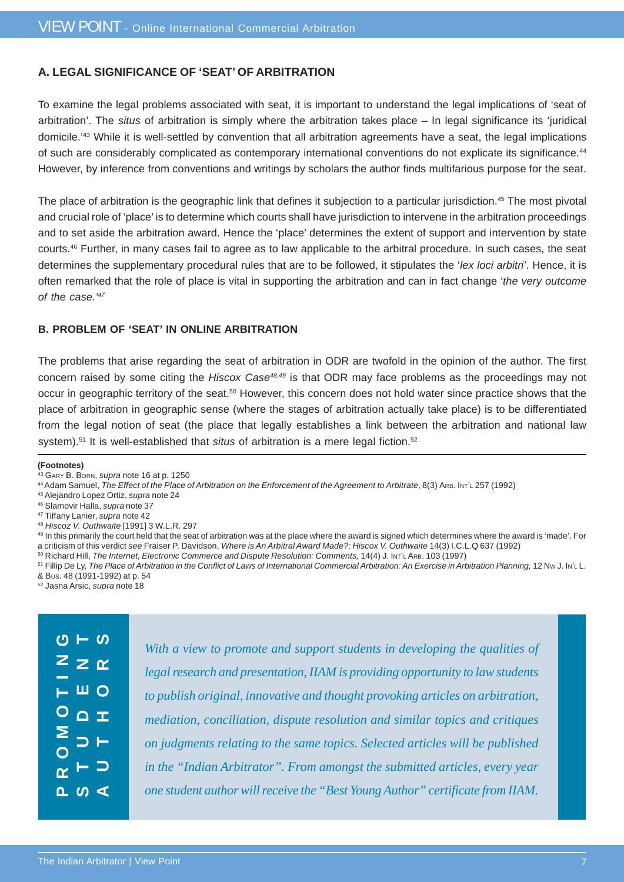#### **A. LEGAL SIGNIFICANCE OF 'SEAT' OF ARBITRATION**

To examine the legal problems associated with seat, it is important to understand the legal implications of 'seat of arbitration'. The *situs* of arbitration is simply where the arbitration takes place – In legal significance its 'juridical domicile.'43 While it is well-settled by convention that all arbitration agreements have a seat, the legal implications of such are considerably complicated as contemporary international conventions do not explicate its significance.44 However, by inference from conventions and writings by scholars the author finds multifarious purpose for the seat.

The place of arbitration is the geographic link that defines it subjection to a particular jurisdiction.<sup>45</sup> The most pivotal and crucial role of 'place' is to determine which courts shall have jurisdiction to intervene in the arbitration proceedings and to set aside the arbitration award. Hence the 'place' determines the extent of support and intervention by state courts.46 Further, in many cases fail to agree as to law applicable to the arbitral procedure. In such cases, the seat determines the supplementary procedural rules that are to be followed, it stipulates the '*lex loci arbitri'*. Hence, it is often remarked that the role of place is vital in supporting the arbitration and can in fact change '*the very outcome of the case.'47*

#### **B. PROBLEM OF 'SEAT' IN ONLINE ARBITRATION**

The problems that arise regarding the seat of arbitration in ODR are twofold in the opinion of the author. The first concern raised by some citing the *Hiscox Case48,49* is that ODR may face problems as the proceedings may not occur in geographic territory of the seat.50 However, this concern does not hold water since practice shows that the place of arbitration in geographic sense (where the stages of arbitration actually take place) is to be differentiated from the legal notion of seat (the place that legally establishes a link between the arbitration and national law system).<sup>51</sup> It is well-established that *situs* of arbitration is a mere legal fiction.<sup>52</sup>

#### **(Footnotes)**

- 45 Alejandro Lopez Ortiz, *supra* note 24
- 46 Slamovir Halla, *supra* note 37
- 47 Tiffany Lanier, *supra* note 42
- <sup>48</sup> *Hiscoz V. Outhwaite* [1991] 3 W.L.R. 297
- 49 In this primarily the court held that the seat of arbitration was at the place where the award is signed which determines where the award is 'made'. For
- a criticism of this verdict *see* Fraiser P. Davidson, *Where is An Arbitral Award Made?: Hiscox V. Outhwaite* 14(3) I.C.L.Q 637 (1992)
- 50 Richard Hill, The Internet, Electronic Commerce and Dispute Resolution: Comments, 14(4) J. INT'L ARB. 103 (1997)
- 51 Fillip De Ly, The Place of Arbitration in the Conflict of Laws of International Commercial Arbitration: An Exercise in Arbitration Planning, 12 Nw J. In't L. & BUS. 48 (1991-1992) at p. 54
- 52 Jasna Arsic, *supra* note 18

| $\alpha \rightarrow$<br>$Z \geq \alpha$<br>$\overline{\vdash}$ $\overline{\blacksquare}$ $\overline{\bigcirc}$<br>$O_{\Delta T}$ | With a view to promote and support students in developing the qualities of<br>legal research and presentation, IIAM is providing opportunity to law students<br>to publish original, innovative and thought provoking articles on arbitration,<br>mediation, conciliation, dispute resolution and similar topics and critiques<br>on judgments relating to the same topics. Selected articles will be published |
|----------------------------------------------------------------------------------------------------------------------------------|-----------------------------------------------------------------------------------------------------------------------------------------------------------------------------------------------------------------------------------------------------------------------------------------------------------------------------------------------------------------------------------------------------------------|
| $\sum_{0}^{5}$                                                                                                                   |                                                                                                                                                                                                                                                                                                                                                                                                                 |
| $\Delta$ $\omega$ $\Delta$                                                                                                       | in the "Indian Arbitrator". From amongst the submitted articles, every year<br>one student author will receive the "Best Young Author" certificate from IIAM.                                                                                                                                                                                                                                                   |

<sup>43</sup> GARY B. BORN, *supra* note 16 at p. 1250

<sup>44</sup> Adam Samuel, *The Effect of the Place of Arbitration on the Enforcement of the Agreement to Arbitrate*, 8(3) Ars. INT'L 257 (1992)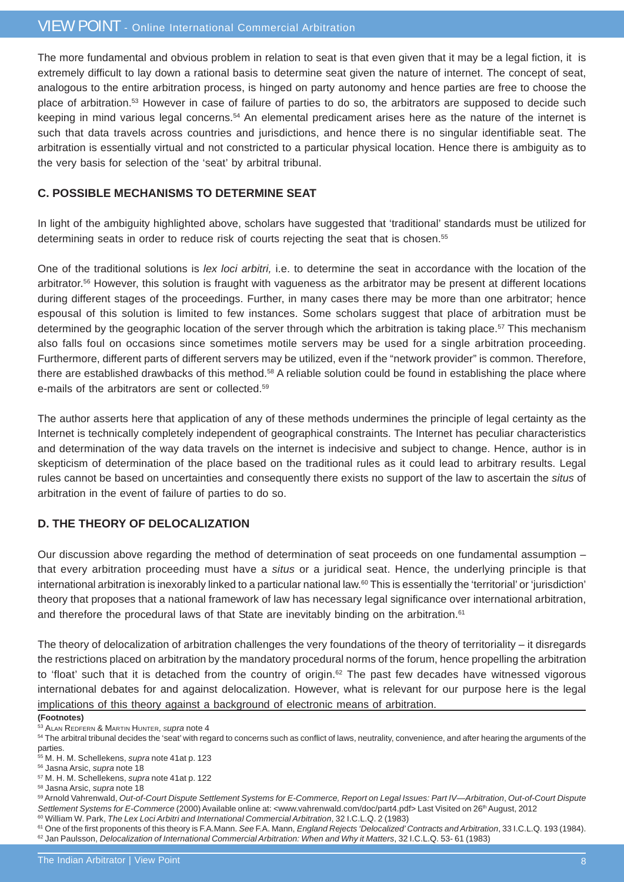The more fundamental and obvious problem in relation to seat is that even given that it may be a legal fiction, it is extremely difficult to lay down a rational basis to determine seat given the nature of internet. The concept of seat, analogous to the entire arbitration process, is hinged on party autonomy and hence parties are free to choose the place of arbitration.53 However in case of failure of parties to do so, the arbitrators are supposed to decide such keeping in mind various legal concerns.54 An elemental predicament arises here as the nature of the internet is such that data travels across countries and jurisdictions, and hence there is no singular identifiable seat. The arbitration is essentially virtual and not constricted to a particular physical location. Hence there is ambiguity as to the very basis for selection of the 'seat' by arbitral tribunal.

#### **C. POSSIBLE MECHANISMS TO DETERMINE SEAT**

In light of the ambiguity highlighted above, scholars have suggested that 'traditional' standards must be utilized for determining seats in order to reduce risk of courts rejecting the seat that is chosen.55

One of the traditional solutions is *lex loci arbitri,* i.e. to determine the seat in accordance with the location of the arbitrator.<sup>56</sup> However, this solution is fraught with vagueness as the arbitrator may be present at different locations during different stages of the proceedings. Further, in many cases there may be more than one arbitrator; hence espousal of this solution is limited to few instances. Some scholars suggest that place of arbitration must be determined by the geographic location of the server through which the arbitration is taking place.<sup>57</sup> This mechanism also falls foul on occasions since sometimes motile servers may be used for a single arbitration proceeding. Furthermore, different parts of different servers may be utilized, even if the "network provider" is common. Therefore, there are established drawbacks of this method.58 A reliable solution could be found in establishing the place where e-mails of the arbitrators are sent or collected.59

The author asserts here that application of any of these methods undermines the principle of legal certainty as the Internet is technically completely independent of geographical constraints. The Internet has peculiar characteristics and determination of the way data travels on the internet is indecisive and subject to change. Hence, author is in skepticism of determination of the place based on the traditional rules as it could lead to arbitrary results. Legal rules cannot be based on uncertainties and consequently there exists no support of the law to ascertain the *situs* of arbitration in the event of failure of parties to do so.

#### **D. THE THEORY OF DELOCALIZATION**

Our discussion above regarding the method of determination of seat proceeds on one fundamental assumption – that every arbitration proceeding must have a *situs* or a juridical seat. Hence, the underlying principle is that international arbitration is inexorably linked to a particular national law.60 This is essentially the 'territorial' or 'jurisdiction' theory that proposes that a national framework of law has necessary legal significance over international arbitration, and therefore the procedural laws of that State are inevitably binding on the arbitration.<sup>61</sup>

The theory of delocalization of arbitration challenges the very foundations of the theory of territoriality – it disregards the restrictions placed on arbitration by the mandatory procedural norms of the forum, hence propelling the arbitration to 'float' such that it is detached from the country of origin.<sup>62</sup> The past few decades have witnessed vigorous international debates for and against delocalization. However, what is relevant for our purpose here is the legal implications of this theory against a background of electronic means of arbitration.

**(Footnotes)**

<sup>53</sup> ALAN REDFERN & MARTIN HUNTER, *Supra* note 4

<sup>&</sup>lt;sup>54</sup> The arbitral tribunal decides the 'seat' with regard to concerns such as conflict of laws, neutrality, convenience, and after hearing the arguments of the parties.

<sup>55</sup> M. H. M. Schellekens, *supra* note 41at p. 123

<sup>56</sup> Jasna Arsic, *supra* note 18

<sup>57</sup> M. H. M. Schellekens, *supra* note 41at p. 122

<sup>58</sup> Jasna Arsic, *supra* note 18

<sup>59</sup> Arnold Vahrenwald, *Out-of-Court Dispute Settlement Systems for E-Commerce, Report on Legal Issues: Part IV—Arbitration*, *Out-of-Court Dispute* Settlement Systems for E-Commerce (2000) Available online at: <www.vahrenwald.com/doc/part4.pdf> Last Visited on 26<sup>th</sup> August, 2012 60 William W. Park, *The Lex Loci Arbitri and International Commercial Arbitration*, 32 I.C.L.Q. 2 (1983)

<sup>61</sup> One of the first proponents of this theory is F.A.Mann. *See* F.A. Mann, *England Rejects 'Delocalized' Contracts and Arbitration*, 33 I.C.L.Q. 193 (1984). 62 Jan Paulsson, *Delocalization of International Commercial Arbitration: When and Why it Matters*, 32 I.C.L.Q. 53- 61 (1983)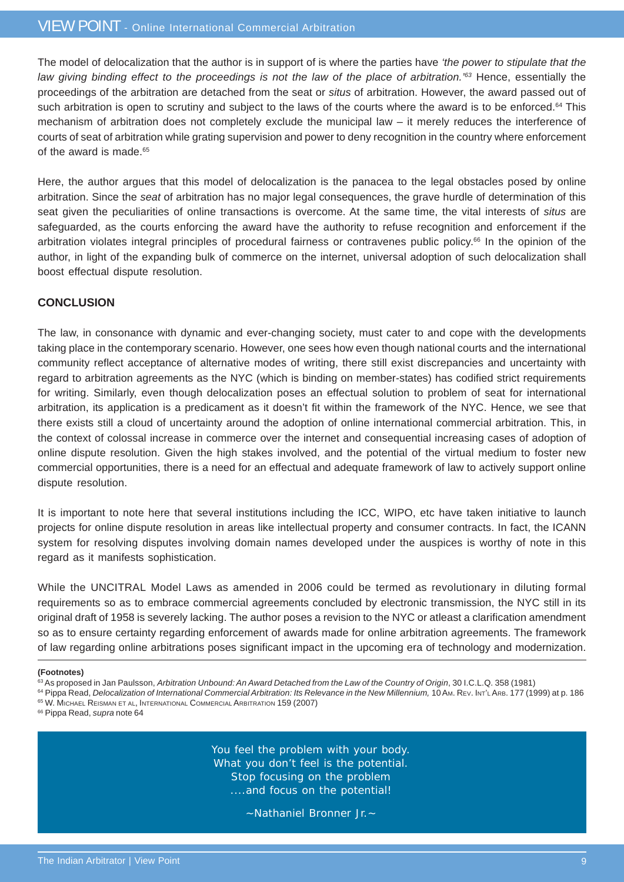#### VIEW POINT - Online International Commercial Arbitration

The model of delocalization that the author is in support of is where the parties have *'the power to stipulate that the law giving binding effect to the proceedings is not the law of the place of arbitration.<sup>'63</sup> Hence, essentially the* proceedings of the arbitration are detached from the seat or *situs* of arbitration. However, the award passed out of such arbitration is open to scrutiny and subject to the laws of the courts where the award is to be enforced.<sup>64</sup> This mechanism of arbitration does not completely exclude the municipal law – it merely reduces the interference of courts of seat of arbitration while grating supervision and power to deny recognition in the country where enforcement of the award is made.<sup>65</sup>

Here, the author argues that this model of delocalization is the panacea to the legal obstacles posed by online arbitration. Since the *seat* of arbitration has no major legal consequences, the grave hurdle of determination of this seat given the peculiarities of online transactions is overcome. At the same time, the vital interests of *situs* are safeguarded, as the courts enforcing the award have the authority to refuse recognition and enforcement if the arbitration violates integral principles of procedural fairness or contravenes public policy.66 In the opinion of the author, in light of the expanding bulk of commerce on the internet, universal adoption of such delocalization shall boost effectual dispute resolution.

#### **CONCLUSION**

The law, in consonance with dynamic and ever-changing society, must cater to and cope with the developments taking place in the contemporary scenario. However, one sees how even though national courts and the international community reflect acceptance of alternative modes of writing, there still exist discrepancies and uncertainty with regard to arbitration agreements as the NYC (which is binding on member-states) has codified strict requirements for writing. Similarly, even though delocalization poses an effectual solution to problem of seat for international arbitration, its application is a predicament as it doesn't fit within the framework of the NYC. Hence, we see that there exists still a cloud of uncertainty around the adoption of online international commercial arbitration. This, in the context of colossal increase in commerce over the internet and consequential increasing cases of adoption of online dispute resolution. Given the high stakes involved, and the potential of the virtual medium to foster new commercial opportunities, there is a need for an effectual and adequate framework of law to actively support online dispute resolution.

It is important to note here that several institutions including the ICC, WIPO, etc have taken initiative to launch projects for online dispute resolution in areas like intellectual property and consumer contracts. In fact, the ICANN system for resolving disputes involving domain names developed under the auspices is worthy of note in this regard as it manifests sophistication.

While the UNCITRAL Model Laws as amended in 2006 could be termed as revolutionary in diluting formal requirements so as to embrace commercial agreements concluded by electronic transmission, the NYC still in its original draft of 1958 is severely lacking. The author poses a revision to the NYC or atleast a clarification amendment so as to ensure certainty regarding enforcement of awards made for online arbitration agreements. The framework of law regarding online arbitrations poses significant impact in the upcoming era of technology and modernization.

66 Pippa Read, *supra* note 64

You feel the problem with your body. What you don't feel is the potential. Stop focusing on the problem ....and focus on the potential!

~Nathaniel Bronner Jr.~

**<sup>(</sup>Footnotes)**

<sup>&</sup>lt;sup>63</sup> As proposed in Jan Paulsson, *Arbitration Unbound: An Award Detached from the Law of the Country of Origin*, 30 I.C.L.Q. 358 (1981)

<sup>64</sup> Pippa Read, *Delocalization of International Commercial Arbitration: Its Relevance in the New Millennium, 10 Am. REv. Int'L Ars. 177 (1999) at p. 186* 65 W. MICHAEL REISMAN ET AL, INTERNATIONAL COMMERCIAL ARBITRATION 159 (2007)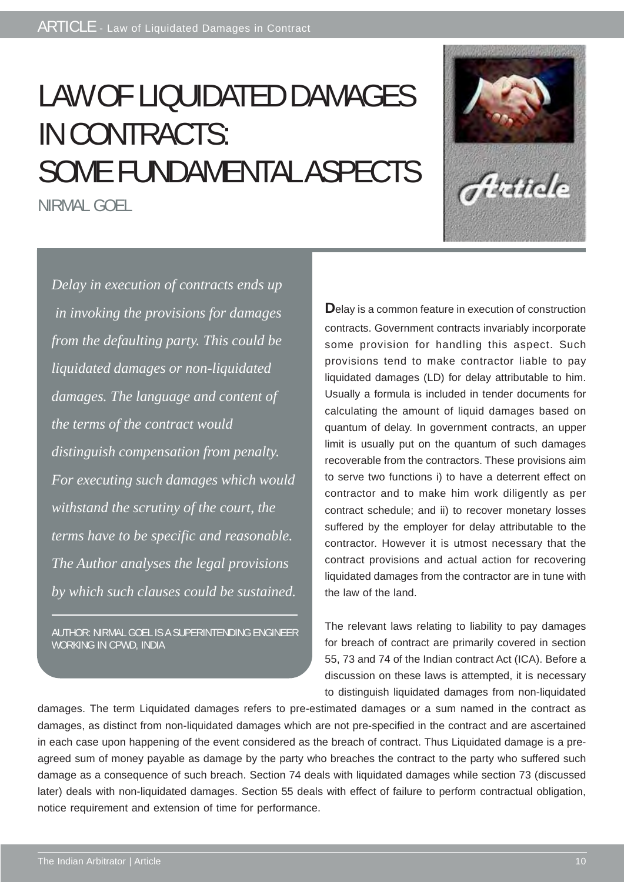# LAW OF LIQUIDATED DAMAGES IN CONTRACTS: SOME FUNDAMENTAL ASPECTS

NIRMAL GOEL



*Delay in execution of contracts ends up in invoking the provisions for damages from the defaulting party. This could be liquidated damages or non-liquidated damages. The language and content of the terms of the contract would distinguish compensation from penalty. For executing such damages which would withstand the scrutiny of the court, the terms have to be specific and reasonable. The Author analyses the legal provisions by which such clauses could be sustained.*

AUTHOR: NIRMAL GOEL IS A SUPERINTENDING ENGINEER WORKING IN CPWD, INDIA

**D**elay is a common feature in execution of construction contracts. Government contracts invariably incorporate some provision for handling this aspect. Such provisions tend to make contractor liable to pay liquidated damages (LD) for delay attributable to him. Usually a formula is included in tender documents for calculating the amount of liquid damages based on quantum of delay. In government contracts, an upper limit is usually put on the quantum of such damages recoverable from the contractors. These provisions aim to serve two functions i) to have a deterrent effect on contractor and to make him work diligently as per contract schedule; and ii) to recover monetary losses suffered by the employer for delay attributable to the contractor. However it is utmost necessary that the contract provisions and actual action for recovering liquidated damages from the contractor are in tune with the law of the land.

The relevant laws relating to liability to pay damages for breach of contract are primarily covered in section 55, 73 and 74 of the Indian contract Act (ICA). Before a discussion on these laws is attempted, it is necessary to distinguish liquidated damages from non-liquidated

damages. The term Liquidated damages refers to pre-estimated damages or a sum named in the contract as damages, as distinct from non-liquidated damages which are not pre-specified in the contract and are ascertained in each case upon happening of the event considered as the breach of contract. Thus Liquidated damage is a preagreed sum of money payable as damage by the party who breaches the contract to the party who suffered such damage as a consequence of such breach. Section 74 deals with liquidated damages while section 73 (discussed later) deals with non-liquidated damages. Section 55 deals with effect of failure to perform contractual obligation, notice requirement and extension of time for performance.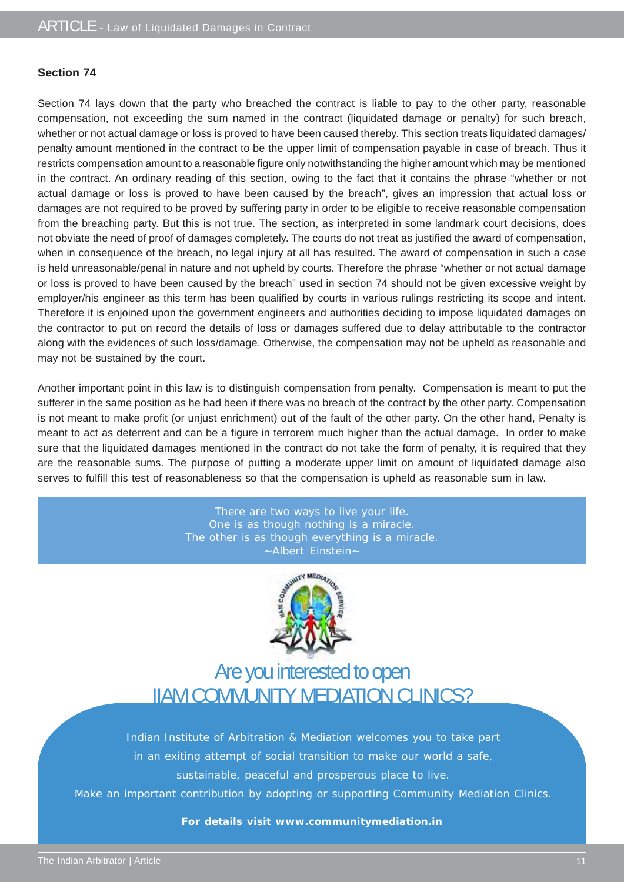#### **Section 74**

Section 74 lays down that the party who breached the contract is liable to pay to the other party, reasonable compensation, not exceeding the sum named in the contract (liquidated damage or penalty) for such breach, whether or not actual damage or loss is proved to have been caused thereby. This section treats liquidated damages/ penalty amount mentioned in the contract to be the upper limit of compensation payable in case of breach. Thus it restricts compensation amount to a reasonable figure only notwithstanding the higher amount which may be mentioned in the contract. An ordinary reading of this section, owing to the fact that it contains the phrase "whether or not actual damage or loss is proved to have been caused by the breach", gives an impression that actual loss or damages are not required to be proved by suffering party in order to be eligible to receive reasonable compensation from the breaching party. But this is not true. The section, as interpreted in some landmark court decisions, does not obviate the need of proof of damages completely. The courts do not treat as justified the award of compensation, when in consequence of the breach, no legal injury at all has resulted. The award of compensation in such a case is held unreasonable/penal in nature and not upheld by courts. Therefore the phrase "whether or not actual damage or loss is proved to have been caused by the breach" used in section 74 should not be given excessive weight by employer/his engineer as this term has been qualified by courts in various rulings restricting its scope and intent. Therefore it is enjoined upon the government engineers and authorities deciding to impose liquidated damages on the contractor to put on record the details of loss or damages suffered due to delay attributable to the contractor along with the evidences of such loss/damage. Otherwise, the compensation may not be upheld as reasonable and may not be sustained by the court.

Another important point in this law is to distinguish compensation from penalty. Compensation is meant to put the sufferer in the same position as he had been if there was no breach of the contract by the other party. Compensation is not meant to make profit (or unjust enrichment) out of the fault of the other party. On the other hand, Penalty is meant to act as deterrent and can be a figure in terrorem much higher than the actual damage. In order to make sure that the liquidated damages mentioned in the contract do not take the form of penalty, it is required that they are the reasonable sums. The purpose of putting a moderate upper limit on amount of liquidated damage also serves to fulfill this test of reasonableness so that the compensation is upheld as reasonable sum in law.

> There are two ways to live your life. One is as though nothing is a miracle. The other is as though everything is a miracle. ~Albert Einstein~



### Are you interested to open IIAM COMMUNITY MEDIATION CLINICS?

Indian Institute of Arbitration & Mediation welcomes you to take part in an exiting attempt of social transition to make our world a safe, sustainable, peaceful and prosperous place to live.

Make an important contribution by adopting or supporting Community Mediation Clinics.

#### **For details visit www.communitymediation.in**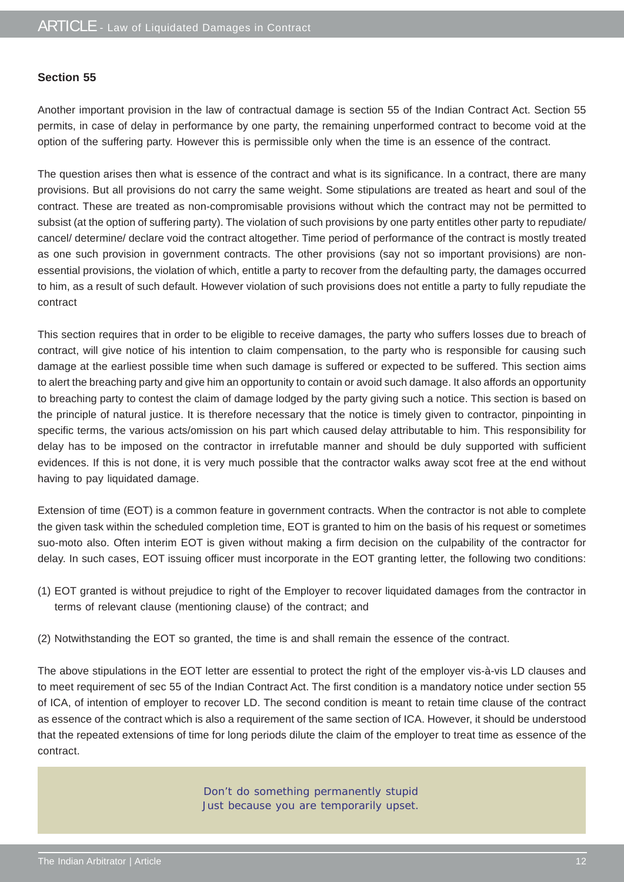#### **Section 55**

Another important provision in the law of contractual damage is section 55 of the Indian Contract Act. Section 55 permits, in case of delay in performance by one party, the remaining unperformed contract to become void at the option of the suffering party. However this is permissible only when the time is an essence of the contract.

The question arises then what is essence of the contract and what is its significance. In a contract, there are many provisions. But all provisions do not carry the same weight. Some stipulations are treated as heart and soul of the contract. These are treated as non-compromisable provisions without which the contract may not be permitted to subsist (at the option of suffering party). The violation of such provisions by one party entitles other party to repudiate/ cancel/ determine/ declare void the contract altogether. Time period of performance of the contract is mostly treated as one such provision in government contracts. The other provisions (say not so important provisions) are nonessential provisions, the violation of which, entitle a party to recover from the defaulting party, the damages occurred to him, as a result of such default. However violation of such provisions does not entitle a party to fully repudiate the contract

This section requires that in order to be eligible to receive damages, the party who suffers losses due to breach of contract, will give notice of his intention to claim compensation, to the party who is responsible for causing such damage at the earliest possible time when such damage is suffered or expected to be suffered. This section aims to alert the breaching party and give him an opportunity to contain or avoid such damage. It also affords an opportunity to breaching party to contest the claim of damage lodged by the party giving such a notice. This section is based on the principle of natural justice. It is therefore necessary that the notice is timely given to contractor, pinpointing in specific terms, the various acts/omission on his part which caused delay attributable to him. This responsibility for delay has to be imposed on the contractor in irrefutable manner and should be duly supported with sufficient evidences. If this is not done, it is very much possible that the contractor walks away scot free at the end without having to pay liquidated damage.

Extension of time (EOT) is a common feature in government contracts. When the contractor is not able to complete the given task within the scheduled completion time, EOT is granted to him on the basis of his request or sometimes suo-moto also. Often interim EOT is given without making a firm decision on the culpability of the contractor for delay. In such cases, EOT issuing officer must incorporate in the EOT granting letter, the following two conditions:

- (1) EOT granted is without prejudice to right of the Employer to recover liquidated damages from the contractor in terms of relevant clause (mentioning clause) of the contract; and
- (2) Notwithstanding the EOT so granted, the time is and shall remain the essence of the contract.

The above stipulations in the EOT letter are essential to protect the right of the employer vis-à-vis LD clauses and to meet requirement of sec 55 of the Indian Contract Act. The first condition is a mandatory notice under section 55 of ICA, of intention of employer to recover LD. The second condition is meant to retain time clause of the contract as essence of the contract which is also a requirement of the same section of ICA. However, it should be understood that the repeated extensions of time for long periods dilute the claim of the employer to treat time as essence of the contract.

> Don't do something permanently stupid Just because you are temporarily upset.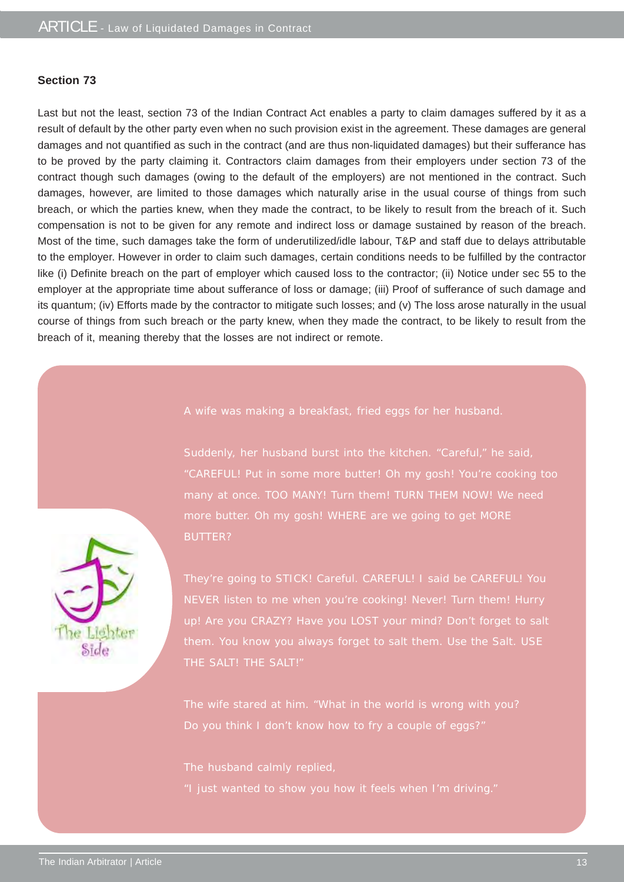#### **Section 73**

Last but not the least, section 73 of the Indian Contract Act enables a party to claim damages suffered by it as a result of default by the other party even when no such provision exist in the agreement. These damages are general damages and not quantified as such in the contract (and are thus non-liquidated damages) but their sufferance has to be proved by the party claiming it. Contractors claim damages from their employers under section 73 of the contract though such damages (owing to the default of the employers) are not mentioned in the contract. Such damages, however, are limited to those damages which naturally arise in the usual course of things from such breach, or which the parties knew, when they made the contract, to be likely to result from the breach of it. Such compensation is not to be given for any remote and indirect loss or damage sustained by reason of the breach. Most of the time, such damages take the form of underutilized/idle labour, T&P and staff due to delays attributable to the employer. However in order to claim such damages, certain conditions needs to be fulfilled by the contractor like (i) Definite breach on the part of employer which caused loss to the contractor; (ii) Notice under sec 55 to the employer at the appropriate time about sufferance of loss or damage; (iii) Proof of sufferance of such damage and its quantum; (iv) Efforts made by the contractor to mitigate such losses; and (v) The loss arose naturally in the usual course of things from such breach or the party knew, when they made the contract, to be likely to result from the breach of it, meaning thereby that the losses are not indirect or remote.

#### A wife was making a breakfast, fried eggs for her husband.

Suddenly, her husband burst into the kitchen. "Careful," he said, "CAREFUL! Put in some more butter! Oh my gosh! You're cooking too many at once. TOO MANY! Turn them! TURN THEM NOW! We need more butter. Oh my gosh! WHERE are we going to get MORE BUTTER?

They're going to STICK! Careful. CAREFUL! I said be CAREFUL! You NEVER listen to me when you're cooking! Never! Turn them! Hurry them. You know you always forget to salt them. Use the Salt. USE THE SALT! THE SALT!"

Do you think I don't know how to fry a couple of eggs?"

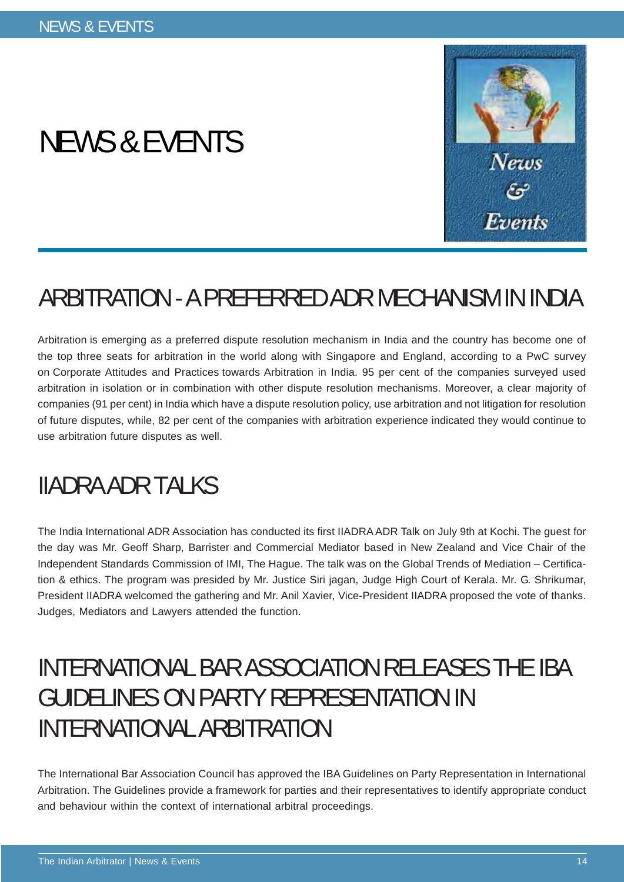# NEWS & EVENTS



### ARBITRATION - A PREFERRED ADR MECHANISM IN INDIA

Arbitration is emerging as a preferred dispute resolution mechanism in India and the country has become one of the top three seats for arbitration in the world along with Singapore and England, according to a PwC survey on Corporate Attitudes and Practices towards Arbitration in India. 95 per cent of the companies surveyed used arbitration in isolation or in combination with other dispute resolution mechanisms. Moreover, a clear majority of companies (91 per cent) in India which have a dispute resolution policy, use arbitration and not litigation for resolution of future disputes, while, 82 per cent of the companies with arbitration experience indicated they would continue to use arbitration future disputes as well.

### IIADRA ADR TALKS

The India International ADR Association has conducted its first IIADRA ADR Talk on July 9th at Kochi. The guest for the day was Mr. Geoff Sharp, Barrister and Commercial Mediator based in New Zealand and Vice Chair of the Independent Standards Commission of IMI, The Hague. The talk was on the Global Trends of Mediation – Certification & ethics. The program was presided by Mr. Justice Siri jagan, Judge High Court of Kerala. Mr. G. Shrikumar, President IIADRA welcomed the gathering and Mr. Anil Xavier, Vice-President IIADRA proposed the vote of thanks. Judges, Mediators and Lawyers attended the function.

### INTERNATIONAL BAR ASSOCIATION RELEASES THE IBA GUIDELINES ON PARTY REPRESENTATION IN INTERNATIONAL ARBITRATION

The International Bar Association Council has approved the IBA Guidelines on Party Representation in International Arbitration. The Guidelines provide a framework for parties and their representatives to identify appropriate conduct and behaviour within the context of international arbitral proceedings.